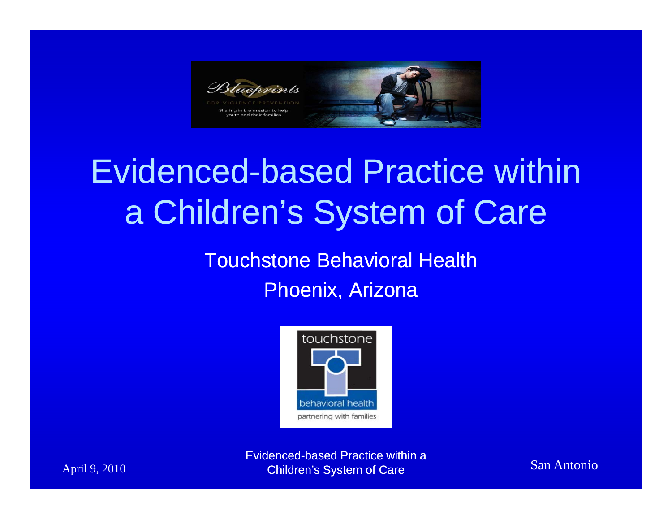

# Evidenced-based Practice within a Children's System of Care

Touchstone Behavioral Health

Phoenix, Arizona



Evidenced-based Practice within a April 9, 2010 **Children's System of Care San Antonio** San Antonio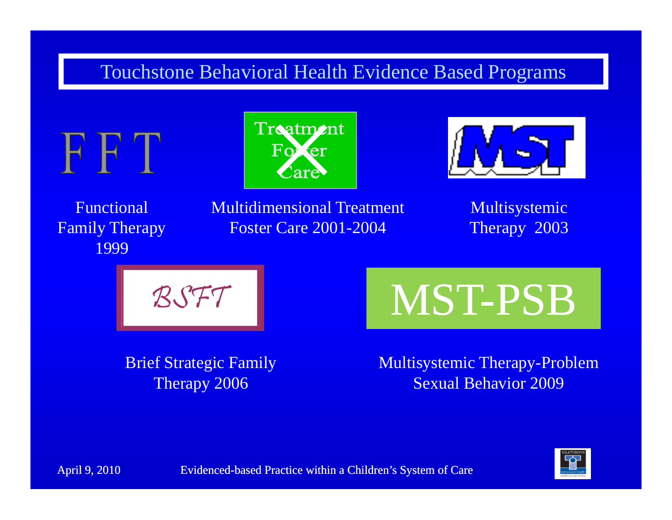#### Touchstone Behavioral Health Evidence Based Programs







Functional Family Therapy 1999

Multidimensional Treatment Foster Care 2001 2004 Therapy 2003 

Multisystemic Therapy 2003



**Brief Strategic Family** Therapy 2006

-2004 Therapy 2003<br>MST-PSB BUTT<br>Brief Strategic Family Multisystemic Therapy-Prob

Multisystemic Therapy-Problem Sexual Behavior 2009

April 9, 2010 Evidenced-based Practice within a Children's System of Care

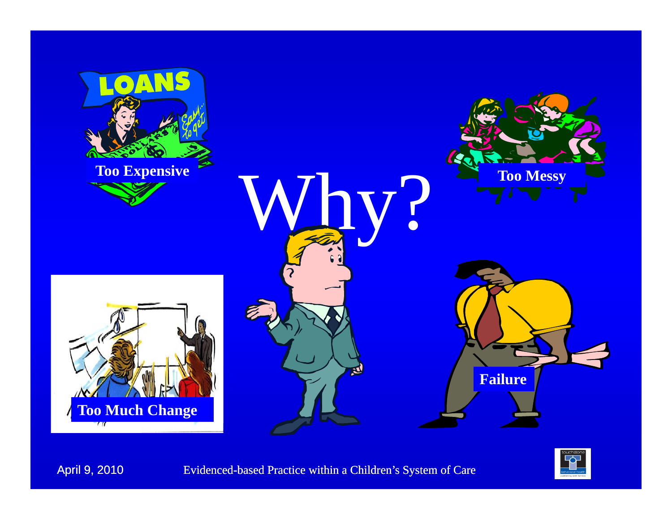

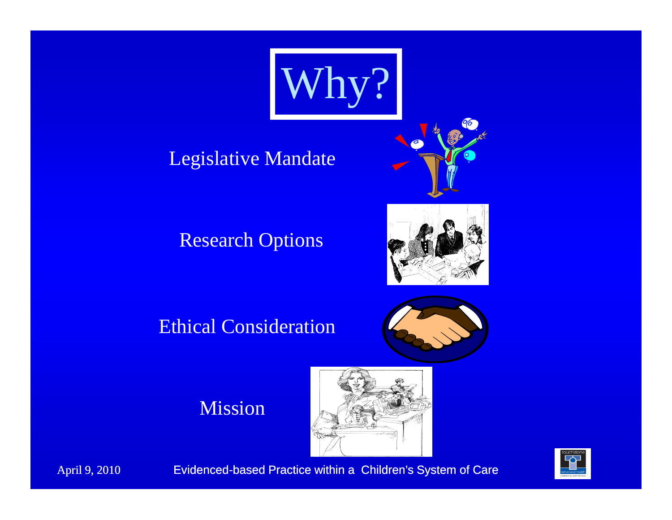

## Legislative Mandate



### Research Options



#### Ethical Consideration



#### Mission



April 9, 2010 Evidenced-based Practice within a Children's System of Care

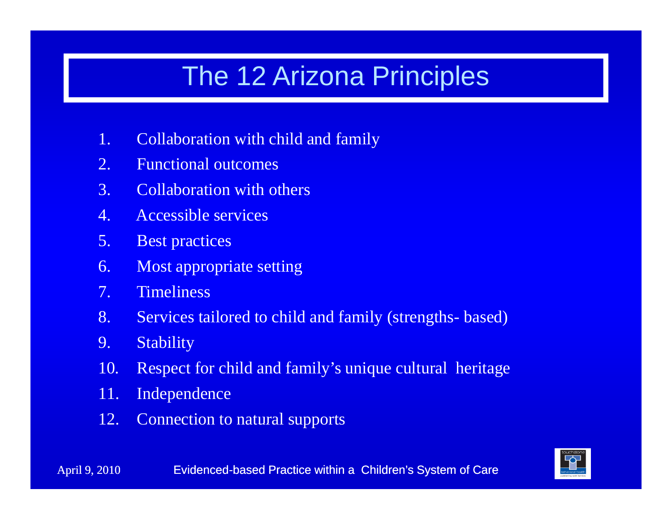## The 12 Arizona Principles

- 1. Collaboration with child and family
- 2.. Functional outcomes
- 3. Collaboration with others
- 4. Accessible services
- 5. Best practices
- 6. Most appropriate setting
- 7.Timeliness
- 8. Services tailored to child and family (strengths- based)
- 9. Stability
- 10. Respect for child and family's unique cultural heritage
- 11. Independence
- 12.Connection to natural supports

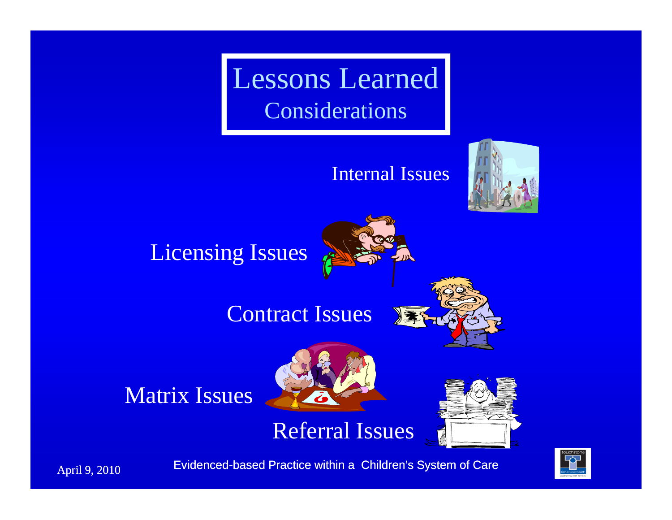Lessons Learned Considerations

#### Internal Issues





April 9, 2010 Evidenced-based Practice within a Children's System of Care

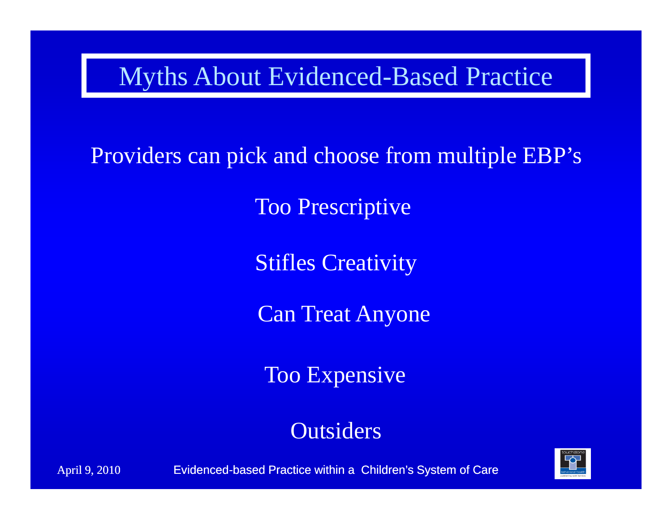## Myths About Evidenced-Based Practice

Providers can pick and choose from multiple EBP's<br>
Too Prescriptive<br>
Stifles Creativity

Too Prescriptive

Can Treat Anyone

Too Expensive

Outsiders

April 9, 2010 **Evidenced-based Practice within a Children's System of Care** 

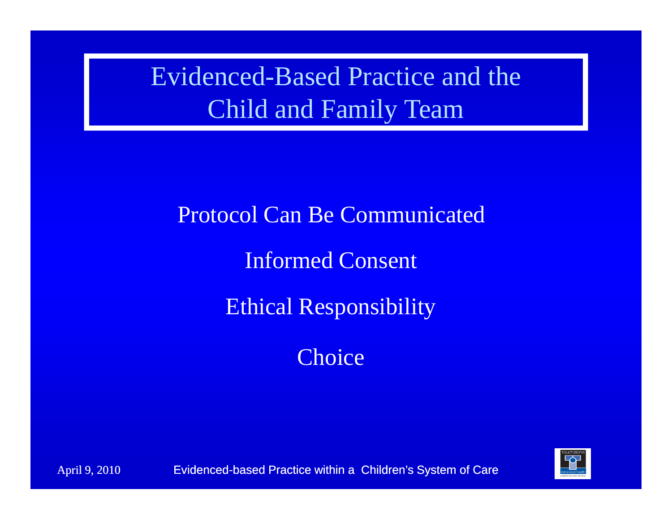Evidenced-Based Practice and theChild and Famil y Team

Protocol Can Be Communicate d

Informed Consent

Ethical Responsibility

Choice

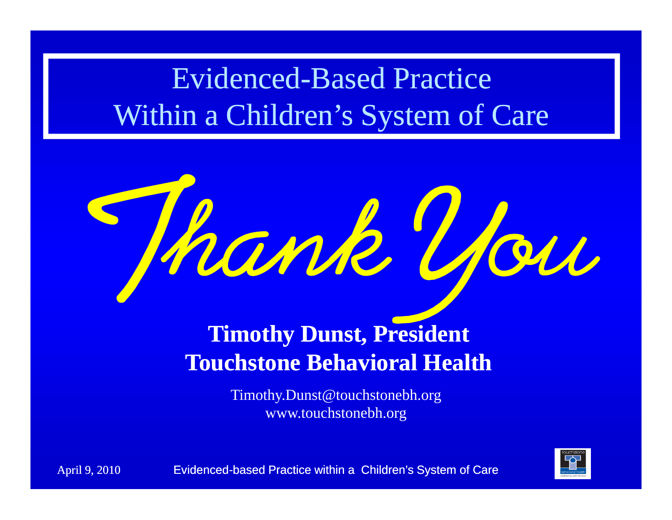## Evidenced-Based Practice Within a Children's System of Care



## **Timothy Dunst, President**  ${\bf T}$  **Touchstone Behavioral Health**

Timothy.Dunst@touchstonebh.org www.touchstonebh.org

April 9, 2010 **Evidenced-based Practice within a Children's System of Care** 

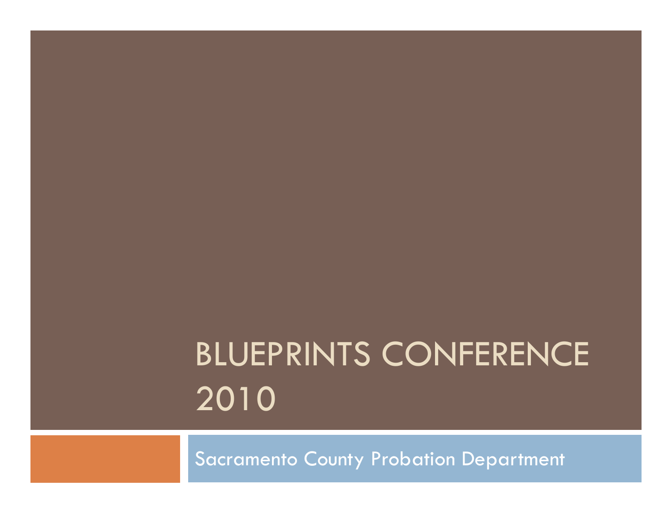# BLUEPRINTS CONFERENCE 2010

Sacramento County Probation Department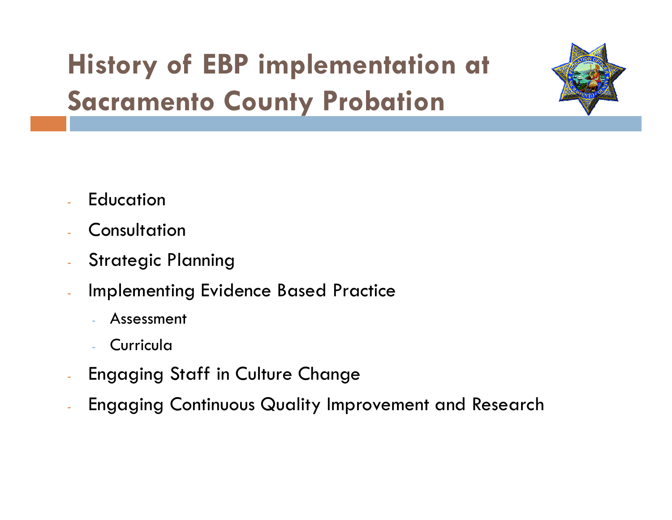# **History of EBP implementation at S t C t P b ti Sacramen o Coun y Pro ation**



- **Education**
- Consultation
- -Strategic Planning
- - Implementing Evidence Based Practice
	- Assessment
	- Curricula
- -Engaging Staff in Culture Change
- Engaging Continuous Quality Improvement and Research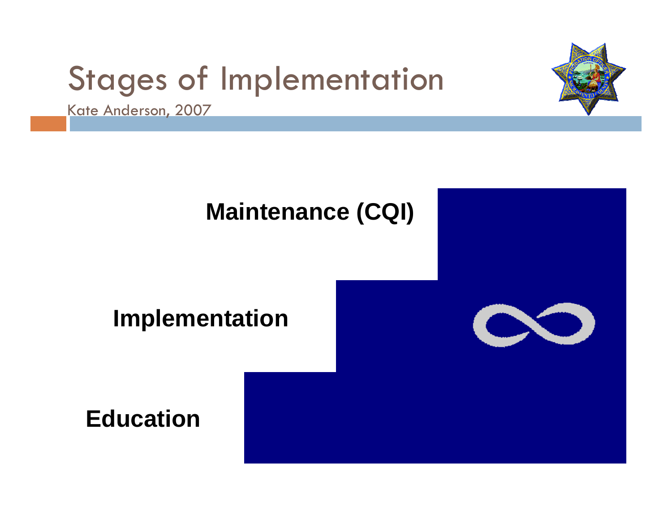# Stages of Implementation





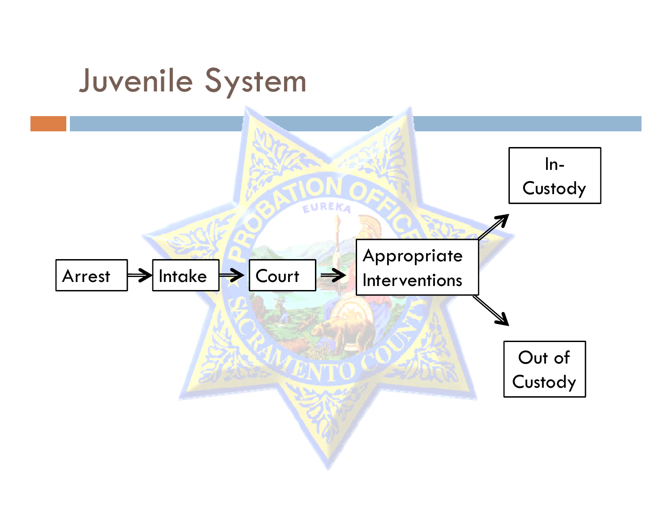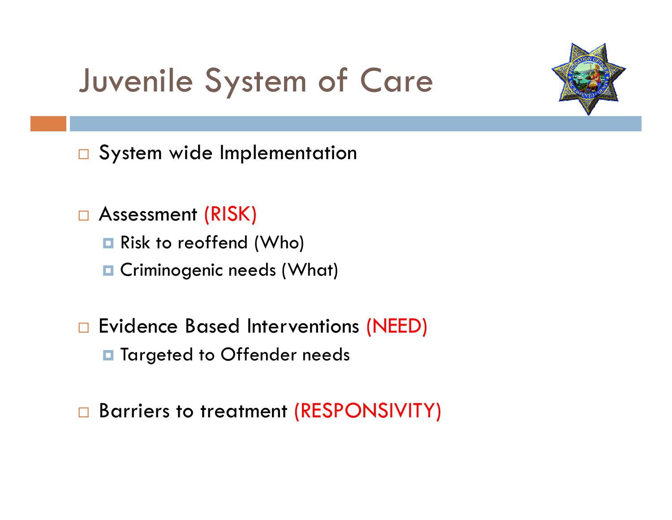# Juvenile System of Care



 $\Box$ System wide Implementation

- $\Box$  Assessment (RISK)
	- **Risk to reoffend (Who)**
	- **Q** Criminogenic needs (What)
- $\Box$  Evidence Based Interventions (NEED)
	- **T** Targeted to Offender needs
- $\Box$ Barriers to treatment (RESPONSIVITY)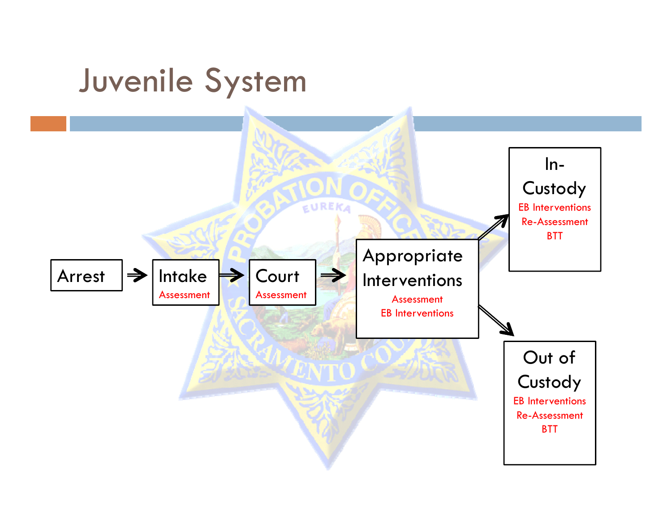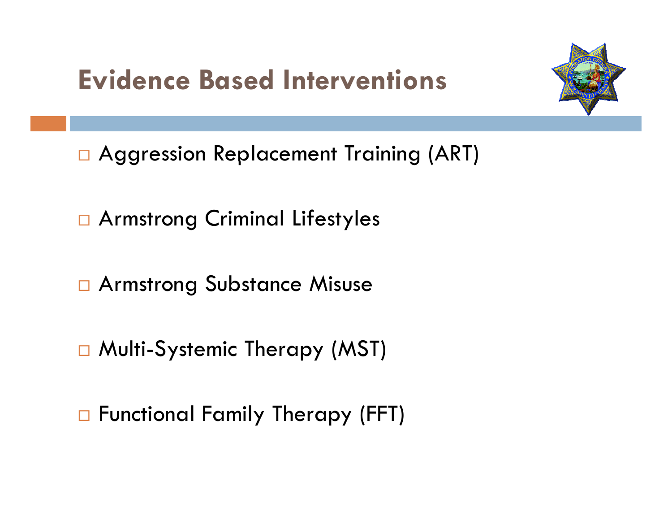## **Evidence Based Interventions**



□ Aggression Replacement Training (ART)

□ Armstrong Criminal Lifestyles

Armstron g Substance Misuse

□ Multi-Systemic Therapy (MST)

□ Functional Family Therapy (FFT)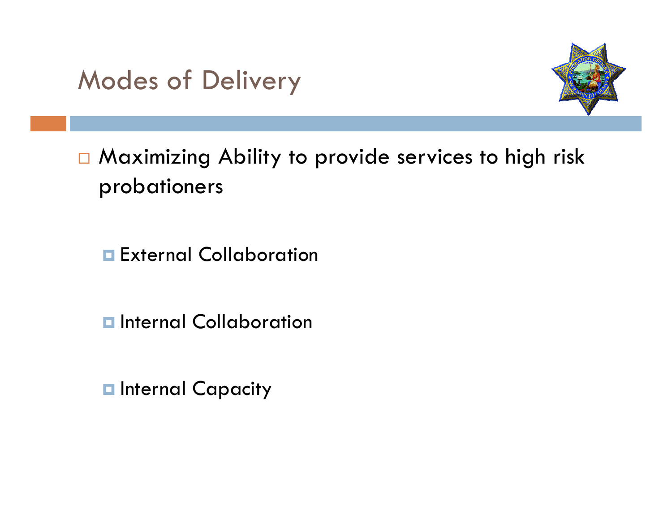## Modes of Delivery



□ Maximizing Ability to provide services to high risk probationers

**External Collaboration** 

**<u>E</u>** Internal Collaboration

 $\blacksquare$  **Internal Capacity**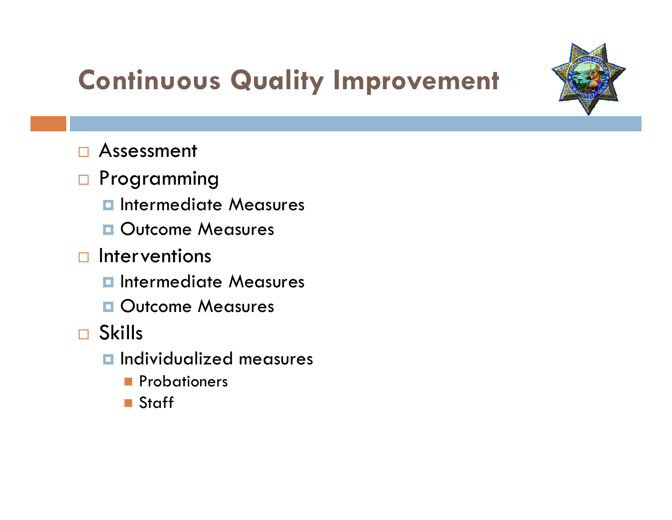

# **Continuous Quality Improvement**

- $\Box$ Assessment
- n Programming
	- **<u><b>n**</u> Intermediate Measures
	- **Outcome Measures**
- $\Box$  Interventions
	- **<u><b>n**</u> Intermediate Measures
	- **Outcome Measures**
- Skills
	- Individualized measures
		- **Probationers**
		- Staff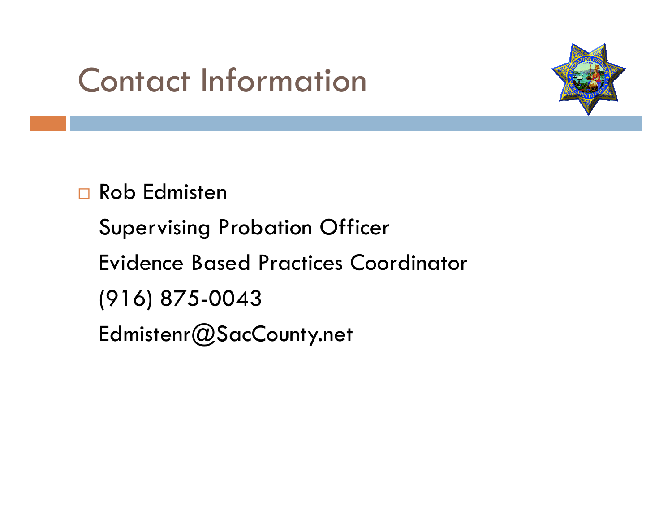# Contact Information



 $\Box$ Rob Edmisten

Supervising Probation Officer

Evidence Based Practices Coordinator

(916) 875 -0043

Edmistenr@SacCounty.net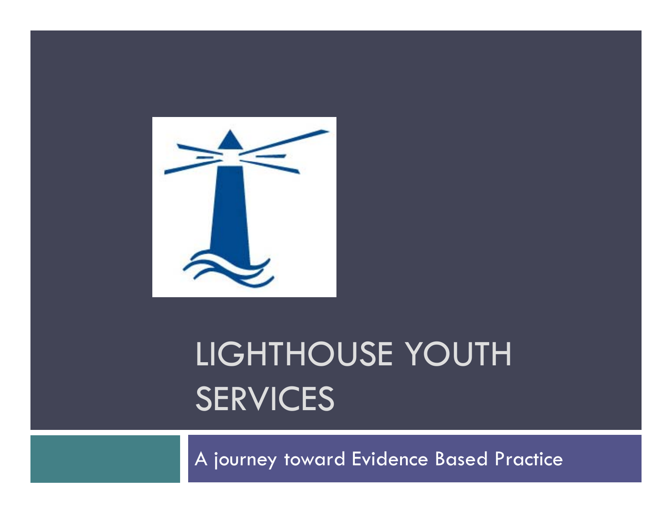

# LIGHTHOUSE YOUTH **SERVICES**

A journey toward Evidence Based Practice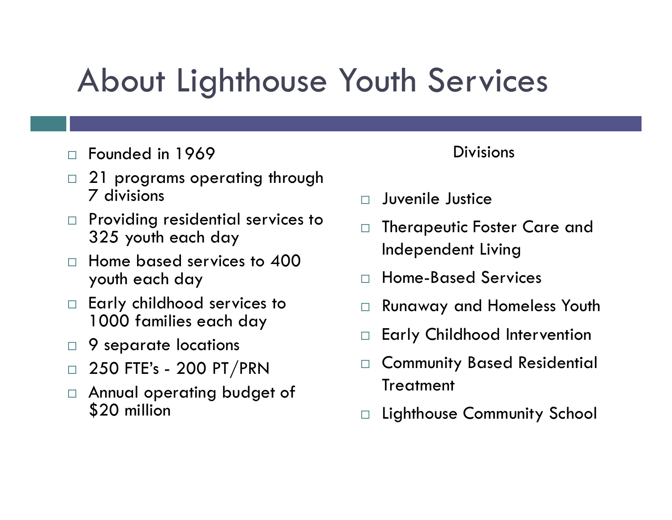# About Lighthouse Youth Services

- $\Box$ Founded in 1969 Divisions
- $\Box$  21 programs operating through 7 divisions
- $\Box$  Providing residential services to Providing residential services to complete Therapeutic Foster Care and<br>325 youth each day
- $\Box$  Home based services to 400 youth each day
- $\Box$  Early childhood services to 1000 families each day
- $\Box$ 9 separate locations
- $\Box$  250 FTE's 200 PT/PRN
- $\Box$  Annual operating budget of \$20 million

- $\Box$ Juvenile Justice
- $\Box$ Independent Living
- $\Box$ Home-Based Services
- $\Box$ Runaway and Homeless Youth
- $\Box$ Early Childhood Intervention
- $\Box$  250 FTE's 200 PT/PRN  $\Box$  Community Based Residential  $\Box$ Treatment
	- $\Box$ Lighthouse Community School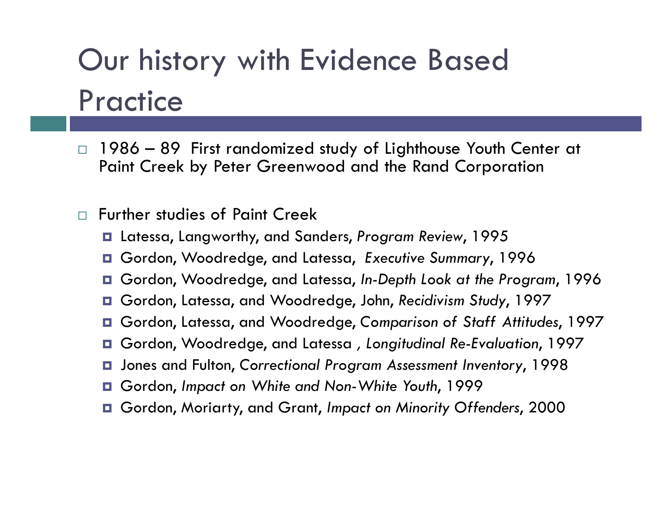# Our history with Evidence Based Practice

- $\Box$  1986 – 89 First randomized study of Lighthouse Youth Center at Paint Creek by Peter Greenwood and the Rand Corporation
- $\Box$  Further studies of Paint Creek
	- Latessa, Langworthy, and Sanders, *Program Review*, 1995
	- Gordon, Woodredge, and Latessa, *Executive Summary*, 1996
	- Gordon, Woodredge, and Latessa, *In-Depth Look at the Program*, 1996
	- Gordon, Latessa, and Woodredge, John, *Recidivism Stud <sup>y</sup>*, 1997
	- Gordon, Latessa, and Woodredge, *Comparison of Staff Attitudes*, 1997
	- Gordon, Woodredge, and Latessa *, Longitudinal Re-Evaluation*, 1997
	- Jones and Fulton, *Correctional Program Assessment Inventor <sup>y</sup>*, 1998
	- Gordon, *Impact on White and Non-White Youth*, 1999
	- Gordon, Moriarty, and Grant, *Impact on Minority Offenders*, 2000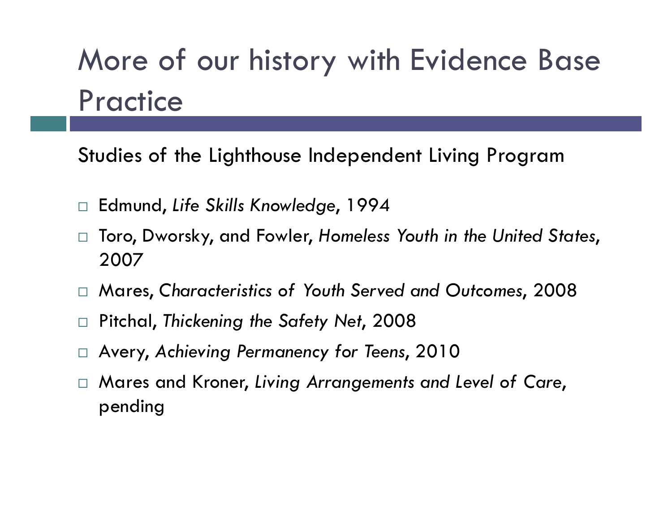Studies of the Lighthouse Independent Living Program

- $\Box$ Edmund, *Life Skills Knowledge*, 1994
- $\Box$  Toro, Dworsky, and Fowler, *Homeless Youth in the United States*, 2007
- $\Box$  Mares, Characteristics of Youth Served and Outcomes, 2008
- $\Box$ Pitchal, *Thickening the Safety Net*, 2008
- $\Box$  $\square$  Avery, Achieving Permanency for Teens, 2010
- $\Box$  Mares and Kroner, *Living Arrangements and Level of Care*, pending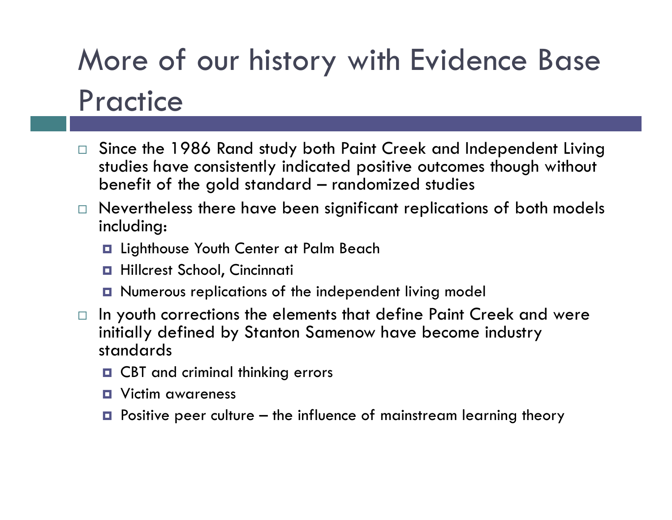- $\Box$  Since the 1986 Rand study both Paint Creek and Independent Living studies have consistently indicated positive outcomes though without benefit of the gold standard – randomized studies
- $\Box$  Nevertheless there have been significant replications of both models including:
	- $\blacksquare$  Lighthouse Youth Center at Palm Beach
	- Hillcrest School, Cincinnati
	- Numerous replications of the independent living model
- $\Box$  In youth corrections the elements that define Paint Creek and were initially defined by Stanton Samenow have become industry standards
	- **O** CBT and criminal thinking errors
	- ГT. Victim awareness
	- $\blacksquare$  Positive peer culture the influence of mainstream learning theory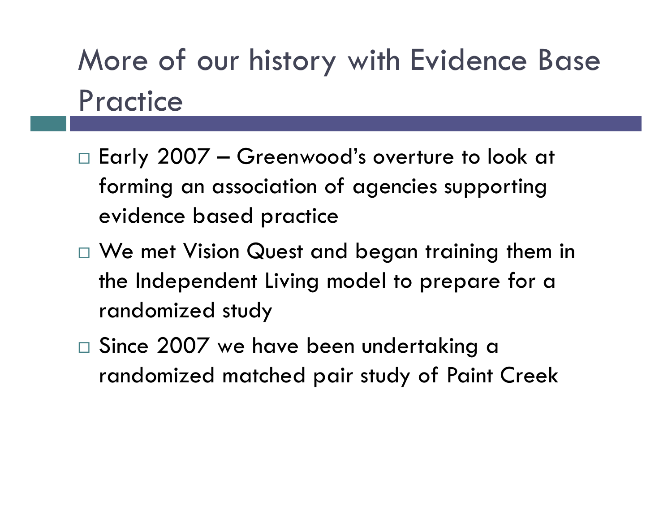- $\Box$  Early 2007  $-$  Greenwood's overture to look at  $\,$ forming an association of agencies supporting evidence based practice
- $\Box$  We met Vision Quest and began training them in the Independent Living model to prepare for a randomized study
- $\Box$  Since 2007 we have been undertaking a randomized matched pair study of Paint Creek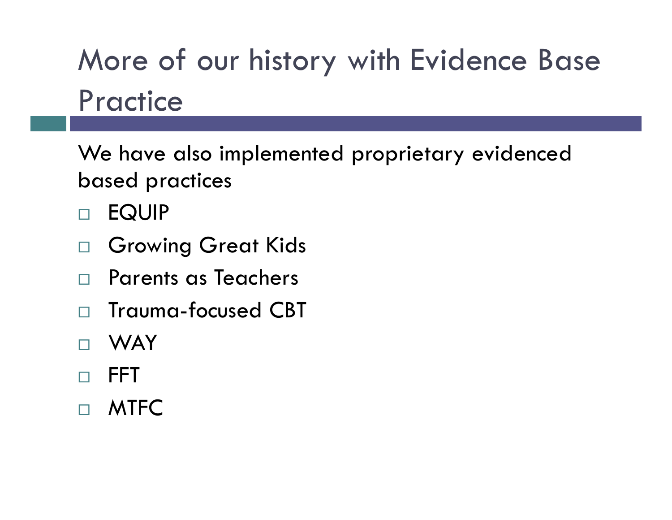We have also implemented proprietary evidenced based practices

- $\Box$ EQUIP
- $\Box$ Growing Great Kids
- $\Box$ Parents as Teachers
- $\Box$ Trauma-focused CBT
- $\Box$ WAY
- $\Box$ FFT
- $\Box$ MTFC